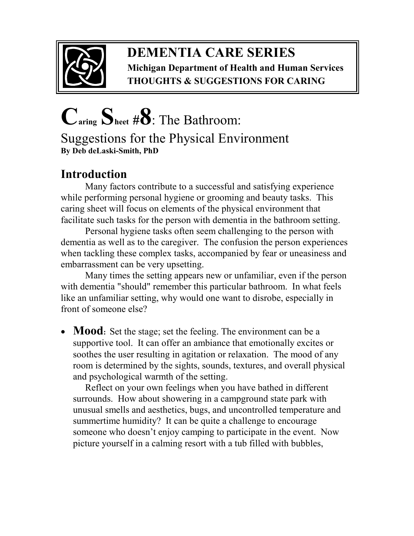

## **DEMENTIA CARE SERIES Michigan Department of Health and Human Services THOUGHTS & SUGGESTIONS FOR CARING**

## **Caring Sheet #8**: The Bathroom: Suggestions for the Physical Environment **By Deb deLaski-Smith, PhD**

## **Introduction**

Many factors contribute to a successful and satisfying experience while performing personal hygiene or grooming and beauty tasks. This caring sheet will focus on elements of the physical environment that facilitate such tasks for the person with dementia in the bathroom setting.

Personal hygiene tasks often seem challenging to the person with dementia as well as to the caregiver. The confusion the person experiences when tackling these complex tasks, accompanied by fear or uneasiness and embarrassment can be very upsetting.

Many times the setting appears new or unfamiliar, even if the person with dementia "should" remember this particular bathroom. In what feels like an unfamiliar setting, why would one want to disrobe, especially in front of someone else?

• **Mood**: Set the stage; set the feeling. The environment can be a supportive tool. It can offer an ambiance that emotionally excites or soothes the user resulting in agitation or relaxation. The mood of any room is determined by the sights, sounds, textures, and overall physical and psychological warmth of the setting.

Reflect on your own feelings when you have bathed in different surrounds. How about showering in a campground state park with unusual smells and aesthetics, bugs, and uncontrolled temperature and summertime humidity? It can be quite a challenge to encourage someone who doesn't enjoy camping to participate in the event. Now picture yourself in a calming resort with a tub filled with bubbles,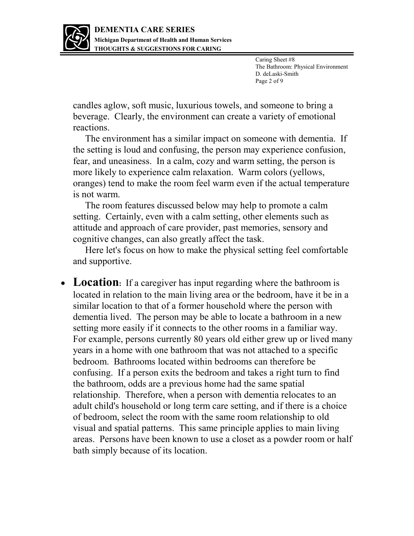

Caring Sheet #8 The Bathroom: Physical Environment D. deLaski-Smith Page 2 of 9

candles aglow, soft music, luxurious towels, and someone to bring a beverage. Clearly, the environment can create a variety of emotional reactions.

The environment has a similar impact on someone with dementia. If the setting is loud and confusing, the person may experience confusion, fear, and uneasiness. In a calm, cozy and warm setting, the person is more likely to experience calm relaxation. Warm colors (yellows, oranges) tend to make the room feel warm even if the actual temperature is not warm.

The room features discussed below may help to promote a calm setting. Certainly, even with a calm setting, other elements such as attitude and approach of care provider, past memories, sensory and cognitive changes, can also greatly affect the task.

Here let's focus on how to make the physical setting feel comfortable and supportive.

• Location: If a caregiver has input regarding where the bathroom is located in relation to the main living area or the bedroom, have it be in a similar location to that of a former household where the person with dementia lived. The person may be able to locate a bathroom in a new setting more easily if it connects to the other rooms in a familiar way. For example, persons currently 80 years old either grew up or lived many years in a home with one bathroom that was not attached to a specific bedroom. Bathrooms located within bedrooms can therefore be confusing. If a person exits the bedroom and takes a right turn to find the bathroom, odds are a previous home had the same spatial relationship. Therefore, when a person with dementia relocates to an adult child's household or long term care setting, and if there is a choice of bedroom, select the room with the same room relationship to old visual and spatial patterns. This same principle applies to main living areas. Persons have been known to use a closet as a powder room or half bath simply because of its location.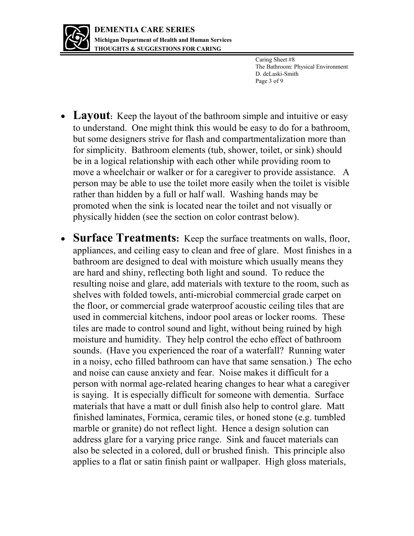

Caring Sheet #8 The Bathroom: Physical Environment D. deLaski-Smith Page 3 of 9

- Layout: Keep the layout of the bathroom simple and intuitive or easy to understand. One might think this would be easy to do for a bathroom, but some designers strive for flash and compartmentalization more than for simplicity. Bathroom elements (tub, shower, toilet, or sink) should be in a logical relationship with each other while providing room to move a wheelchair or walker or for a caregiver to provide assistance. A person may be able to use the toilet more easily when the toilet is visible rather than hidden by a full or half wall. Washing hands may be promoted when the sink is located near the toilet and not visually or physically hidden (see the section on color contrast below).
- **Surface Treatments:** Keep the surface treatments on walls, floor, appliances, and ceiling easy to clean and free of glare. Most finishes in a bathroom are designed to deal with moisture which usually means they are hard and shiny, reflecting both light and sound. To reduce the resulting noise and glare, add materials with texture to the room, such as shelves with folded towels, anti-microbial commercial grade carpet on the floor, or commercial grade waterproof acoustic ceiling tiles that are used in commercial kitchens, indoor pool areas or locker rooms. These tiles are made to control sound and light, without being ruined by high moisture and humidity. They help control the echo effect of bathroom sounds. (Have you experienced the roar of a waterfall? Running water in a noisy, echo filled bathroom can have that same sensation.) The echo and noise can cause anxiety and fear. Noise makes it difficult for a person with normal age-related hearing changes to hear what a caregiver is saying. It is especially difficult for someone with dementia. Surface materials that have a matt or dull finish also help to control glare. Matt finished laminates, Formica, ceramic tiles, or honed stone (e.g. tumbled marble or granite) do not reflect light. Hence a design solution can address glare for a varying price range. Sink and faucet materials can also be selected in a colored, dull or brushed finish. This principle also applies to a flat or satin finish paint or wallpaper. High gloss materials,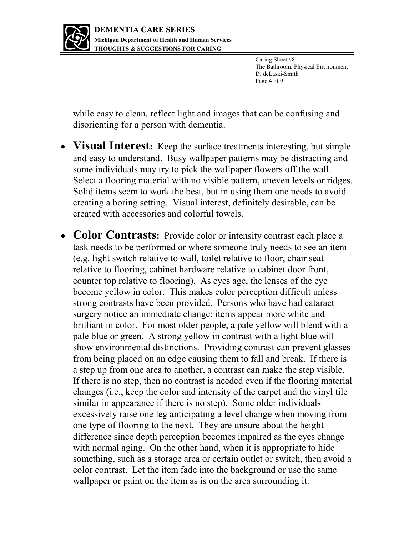

Caring Sheet #8 The Bathroom: Physical Environment D. deLaski-Smith Page 4 of 9

while easy to clean, reflect light and images that can be confusing and disorienting for a person with dementia.

- **Visual Interest:** Keep the surface treatments interesting, but simple and easy to understand. Busy wallpaper patterns may be distracting and some individuals may try to pick the wallpaper flowers off the wall. Select a flooring material with no visible pattern, uneven levels or ridges. Solid items seem to work the best, but in using them one needs to avoid creating a boring setting. Visual interest, definitely desirable, can be created with accessories and colorful towels.
- **Color Contrasts:** Provide color or intensity contrast each place a task needs to be performed or where someone truly needs to see an item (e.g. light switch relative to wall, toilet relative to floor, chair seat relative to flooring, cabinet hardware relative to cabinet door front, counter top relative to flooring). As eyes age, the lenses of the eye become yellow in color. This makes color perception difficult unless strong contrasts have been provided. Persons who have had cataract surgery notice an immediate change; items appear more white and brilliant in color. For most older people, a pale yellow will blend with a pale blue or green. A strong yellow in contrast with a light blue will show environmental distinctions. Providing contrast can prevent glasses from being placed on an edge causing them to fall and break. If there is a step up from one area to another, a contrast can make the step visible. If there is no step, then no contrast is needed even if the flooring material changes (i.e., keep the color and intensity of the carpet and the vinyl tile similar in appearance if there is no step). Some older individuals excessively raise one leg anticipating a level change when moving from one type of flooring to the next. They are unsure about the height difference since depth perception becomes impaired as the eyes change with normal aging. On the other hand, when it is appropriate to hide something, such as a storage area or certain outlet or switch, then avoid a color contrast. Let the item fade into the background or use the same wallpaper or paint on the item as is on the area surrounding it.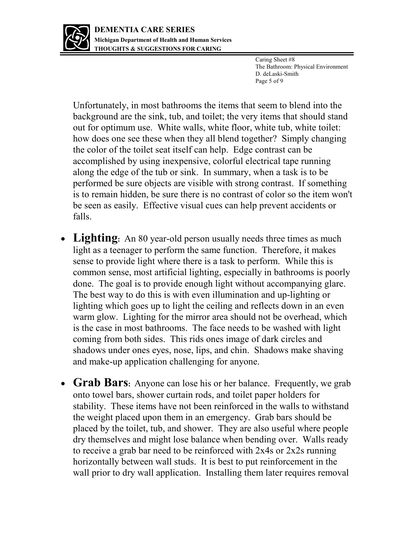

Caring Sheet #8 The Bathroom: Physical Environment D. deLaski-Smith Page 5 of 9

Unfortunately, in most bathrooms the items that seem to blend into the background are the sink, tub, and toilet; the very items that should stand out for optimum use. White walls, white floor, white tub, white toilet: how does one see these when they all blend together? Simply changing the color of the toilet seat itself can help. Edge contrast can be accomplished by using inexpensive, colorful electrical tape running along the edge of the tub or sink. In summary, when a task is to be performed be sure objects are visible with strong contrast. If something is to remain hidden, be sure there is no contrast of color so the item won't be seen as easily. Effective visual cues can help prevent accidents or falls.

- Lighting: An 80 year-old person usually needs three times as much light as a teenager to perform the same function. Therefore, it makes sense to provide light where there is a task to perform. While this is common sense, most artificial lighting, especially in bathrooms is poorly done. The goal is to provide enough light without accompanying glare. The best way to do this is with even illumination and up-lighting or lighting which goes up to light the ceiling and reflects down in an even warm glow. Lighting for the mirror area should not be overhead, which is the case in most bathrooms. The face needs to be washed with light coming from both sides. This rids ones image of dark circles and shadows under ones eyes, nose, lips, and chin. Shadows make shaving and make-up application challenging for anyone.
- **Grab Bars**: Anyone can lose his or her balance. Frequently, we grab onto towel bars, shower curtain rods, and toilet paper holders for stability. These items have not been reinforced in the walls to withstand the weight placed upon them in an emergency. Grab bars should be placed by the toilet, tub, and shower. They are also useful where people dry themselves and might lose balance when bending over. Walls ready to receive a grab bar need to be reinforced with 2x4s or 2x2s running horizontally between wall studs. It is best to put reinforcement in the wall prior to dry wall application. Installing them later requires removal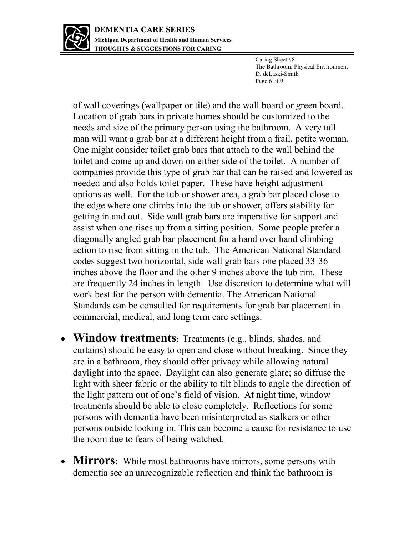

Caring Sheet #8 The Bathroom: Physical Environment D. deLaski-Smith Page 6 of 9

of wall coverings (wallpaper or tile) and the wall board or green board. Location of grab bars in private homes should be customized to the needs and size of the primary person using the bathroom. A very tall man will want a grab bar at a different height from a frail, petite woman. One might consider toilet grab bars that attach to the wall behind the toilet and come up and down on either side of the toilet. A number of companies provide this type of grab bar that can be raised and lowered as needed and also holds toilet paper. These have height adjustment options as well. For the tub or shower area, a grab bar placed close to the edge where one climbs into the tub or shower, offers stability for getting in and out. Side wall grab bars are imperative for support and assist when one rises up from a sitting position. Some people prefer a diagonally angled grab bar placement for a hand over hand climbing action to rise from sitting in the tub. The American National Standard codes suggest two horizontal, side wall grab bars one placed 33-36 inches above the floor and the other 9 inches above the tub rim. These are frequently 24 inches in length. Use discretion to determine what will work best for the person with dementia. The American National Standards can be consulted for requirements for grab bar placement in commercial, medical, and long term care settings.

- **Window treatments:** Treatments (e.g., blinds, shades, and curtains) should be easy to open and close without breaking. Since they are in a bathroom, they should offer privacy while allowing natural daylight into the space. Daylight can also generate glare; so diffuse the light with sheer fabric or the ability to tilt blinds to angle the direction of the light pattern out of one's field of vision. At night time, window treatments should be able to close completely. Reflections for some persons with dementia have been misinterpreted as stalkers or other persons outside looking in. This can become a cause for resistance to use the room due to fears of being watched.
- **Mirrors:** While most bathrooms have mirrors, some persons with dementia see an unrecognizable reflection and think the bathroom is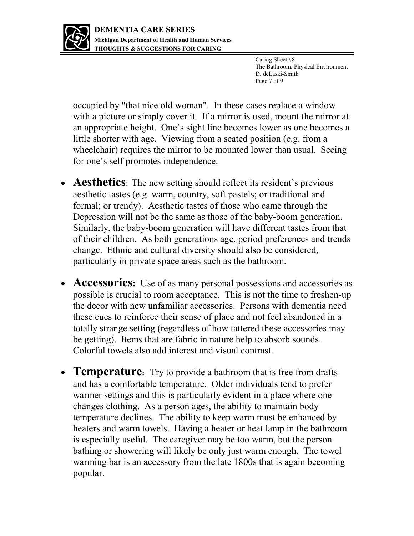

Caring Sheet #8 The Bathroom: Physical Environment D. deLaski-Smith Page 7 of 9

occupied by "that nice old woman". In these cases replace a window with a picture or simply cover it. If a mirror is used, mount the mirror at an appropriate height. One's sight line becomes lower as one becomes a little shorter with age. Viewing from a seated position (e.g. from a wheelchair) requires the mirror to be mounted lower than usual. Seeing for one's self promotes independence.

- **Aesthetics**: The new setting should reflect its resident's previous aesthetic tastes (e.g. warm, country, soft pastels; or traditional and formal; or trendy). Aesthetic tastes of those who came through the Depression will not be the same as those of the baby-boom generation. Similarly, the baby-boom generation will have different tastes from that of their children. As both generations age, period preferences and trends change. Ethnic and cultural diversity should also be considered, particularly in private space areas such as the bathroom.
- Accessories: Use of as many personal possessions and accessories as possible is crucial to room acceptance. This is not the time to freshen-up the decor with new unfamiliar accessories. Persons with dementia need these cues to reinforce their sense of place and not feel abandoned in a totally strange setting (regardless of how tattered these accessories may be getting). Items that are fabric in nature help to absorb sounds. Colorful towels also add interest and visual contrast.
- **Temperature**: Try to provide a bathroom that is free from drafts and has a comfortable temperature. Older individuals tend to prefer warmer settings and this is particularly evident in a place where one changes clothing. As a person ages, the ability to maintain body temperature declines. The ability to keep warm must be enhanced by heaters and warm towels. Having a heater or heat lamp in the bathroom is especially useful. The caregiver may be too warm, but the person bathing or showering will likely be only just warm enough. The towel warming bar is an accessory from the late 1800s that is again becoming popular.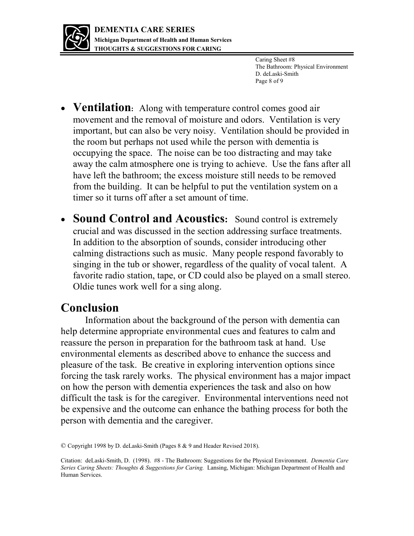

Caring Sheet #8 The Bathroom: Physical Environment D. deLaski-Smith Page 8 of 9

- **Ventilation**: Along with temperature control comes good air movement and the removal of moisture and odors. Ventilation is very important, but can also be very noisy. Ventilation should be provided in the room but perhaps not used while the person with dementia is occupying the space. The noise can be too distracting and may take away the calm atmosphere one is trying to achieve. Use the fans after all have left the bathroom; the excess moisture still needs to be removed from the building. It can be helpful to put the ventilation system on a timer so it turns off after a set amount of time.
- **Sound Control and Acoustics:** Sound control is extremely crucial and was discussed in the section addressing surface treatments. In addition to the absorption of sounds, consider introducing other calming distractions such as music. Many people respond favorably to singing in the tub or shower, regardless of the quality of vocal talent. A favorite radio station, tape, or CD could also be played on a small stereo. Oldie tunes work well for a sing along.

## **Conclusion**

Information about the background of the person with dementia can help determine appropriate environmental cues and features to calm and reassure the person in preparation for the bathroom task at hand. Use environmental elements as described above to enhance the success and pleasure of the task. Be creative in exploring intervention options since forcing the task rarely works. The physical environment has a major impact on how the person with dementia experiences the task and also on how difficult the task is for the caregiver. Environmental interventions need not be expensive and the outcome can enhance the bathing process for both the person with dementia and the caregiver.

<sup>©</sup> Copyright 1998 by D. deLaski-Smith (Pages 8 & 9 and Header Revised 2018).

Citation: deLaski-Smith, D. (1998). #8 - The Bathroom: Suggestions for the Physical Environment. *Dementia Care Series Caring Sheets: Thoughts & Suggestions for Caring.* Lansing, Michigan: Michigan Department of Health and Human Services.